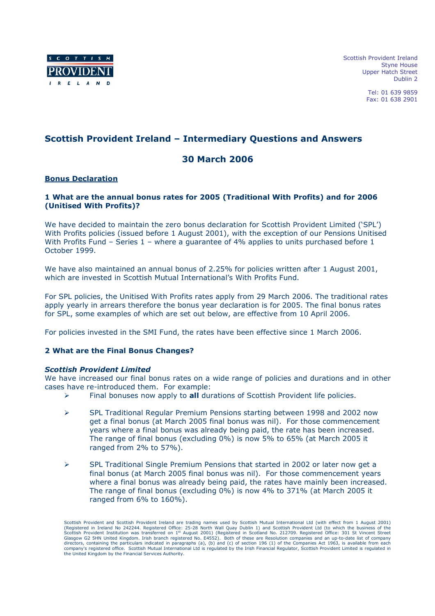

Scottish Provident Ireland Styne House Upper Hatch Street Dublin 2

> Tel: 01 639 9859 Fax: 01 638 2901

# Scottish Provident Ireland – Intermediary Questions and Answers

# 30 March 2006

### Bonus Declaration

# 1 What are the annual bonus rates for 2005 (Traditional With Profits) and for 2006 (Unitised With Profits)?

We have decided to maintain the zero bonus declaration for Scottish Provident Limited ('SPL') With Profits policies (issued before 1 August 2001), with the exception of our Pensions Unitised With Profits Fund – Series 1 – where a quarantee of 4% applies to units purchased before 1 October 1999.

We have also maintained an annual bonus of 2.25% for policies written after 1 August 2001, which are invested in Scottish Mutual International's With Profits Fund.

For SPL policies, the Unitised With Profits rates apply from 29 March 2006. The traditional rates apply yearly in arrears therefore the bonus year declaration is for 2005. The final bonus rates for SPL, some examples of which are set out below, are effective from 10 April 2006.

For policies invested in the SMI Fund, the rates have been effective since 1 March 2006.

# 2 What are the Final Bonus Changes?

#### Scottish Provident Limited

We have increased our final bonus rates on a wide range of policies and durations and in other cases have re-introduced them. For example:

- $\triangleright$  Final bonuses now apply to all durations of Scottish Provident life policies.
- SPL Traditional Regular Premium Pensions starting between 1998 and 2002 now get a final bonus (at March 2005 final bonus was nil). For those commencement years where a final bonus was already being paid, the rate has been increased. The range of final bonus (excluding 0%) is now 5% to 65% (at March 2005 it ranged from 2% to 57%).
- $\triangleright$  SPL Traditional Single Premium Pensions that started in 2002 or later now get a final bonus (at March 2005 final bonus was nil). For those commencement years where a final bonus was already being paid, the rates have mainly been increased. The range of final bonus (excluding 0%) is now 4% to 371% (at March 2005 it ranged from 6% to 160%).

Scottish Provident and Scottish Provident Ireland are trading names used by Scottish Mutual International Ltd (with effect from 1 August 2001)<br>(Registered in Ireland No 242244. Registered Office: 25-28 North Wall Quay Dubl directors, containing the particulars indicated in paragraphs (a), (b) and (c) of section 196 (1) of the Companies Act 1963, is available from each<br>company's registered office. Scottish Mutual International Ltd is regulat the United Kingdom by the Financial Services Authority.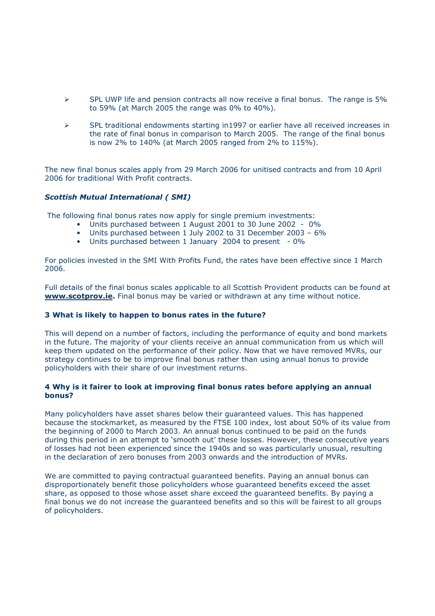- $\triangleright$  SPL UWP life and pension contracts all now receive a final bonus. The range is 5% to 59% (at March 2005 the range was 0% to 40%).
- $\triangleright$  SPL traditional endowments starting in1997 or earlier have all received increases in the rate of final bonus in comparison to March 2005. The range of the final bonus is now 2% to 140% (at March 2005 ranged from 2% to 115%).

The new final bonus scales apply from 29 March 2006 for unitised contracts and from 10 April 2006 for traditional With Profit contracts.

### Scottish Mutual International ( SMI)

The following final bonus rates now apply for single premium investments:

- Units purchased between 1 August 2001 to 30 June 2002 0%
- Units purchased between 1 July 2002 to 31 December 2003 6%
- Units purchased between 1 January 2004 to present 0%

For policies invested in the SMI With Profits Fund, the rates have been effective since 1 March 2006.

Full details of the final bonus scales applicable to all Scottish Provident products can be found at www.scotprov.ie. Final bonus may be varied or withdrawn at any time without notice.

#### 3 What is likely to happen to bonus rates in the future?

This will depend on a number of factors, including the performance of equity and bond markets in the future. The majority of your clients receive an annual communication from us which will keep them updated on the performance of their policy. Now that we have removed MVRs, our strategy continues to be to improve final bonus rather than using annual bonus to provide policyholders with their share of our investment returns.

### 4 Why is it fairer to look at improving final bonus rates before applying an annual bonus?

Many policyholders have asset shares below their guaranteed values. This has happened because the stockmarket, as measured by the FTSE 100 index, lost about 50% of its value from the beginning of 2000 to March 2003. An annual bonus continued to be paid on the funds during this period in an attempt to 'smooth out' these losses. However, these consecutive years of losses had not been experienced since the 1940s and so was particularly unusual, resulting in the declaration of zero bonuses from 2003 onwards and the introduction of MVRs.

We are committed to paying contractual guaranteed benefits. Paying an annual bonus can disproportionately benefit those policyholders whose guaranteed benefits exceed the asset share, as opposed to those whose asset share exceed the guaranteed benefits. By paying a final bonus we do not increase the guaranteed benefits and so this will be fairest to all groups of policyholders.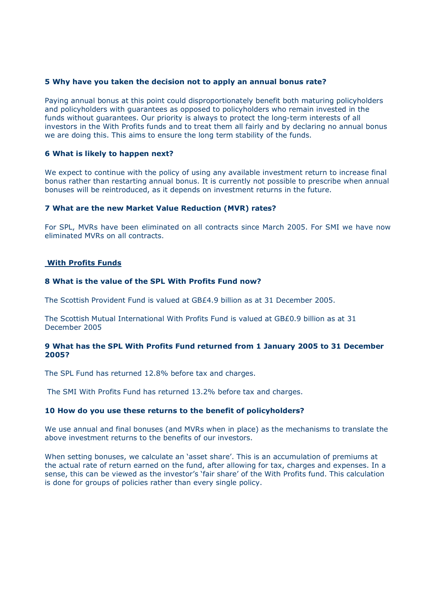#### 5 Why have you taken the decision not to apply an annual bonus rate?

Paying annual bonus at this point could disproportionately benefit both maturing policyholders and policyholders with guarantees as opposed to policyholders who remain invested in the funds without guarantees. Our priority is always to protect the long-term interests of all investors in the With Profits funds and to treat them all fairly and by declaring no annual bonus we are doing this. This aims to ensure the long term stability of the funds.

### 6 What is likely to happen next?

We expect to continue with the policy of using any available investment return to increase final bonus rather than restarting annual bonus. It is currently not possible to prescribe when annual bonuses will be reintroduced, as it depends on investment returns in the future.

### 7 What are the new Market Value Reduction (MVR) rates?

For SPL, MVRs have been eliminated on all contracts since March 2005. For SMI we have now eliminated MVRs on all contracts.

### With Profits Funds

### 8 What is the value of the SPL With Profits Fund now?

The Scottish Provident Fund is valued at GB£4.9 billion as at 31 December 2005.

The Scottish Mutual International With Profits Fund is valued at GB£0.9 billion as at 31 December 2005

### 9 What has the SPL With Profits Fund returned from 1 January 2005 to 31 December 2005?

The SPL Fund has returned 12.8% before tax and charges.

The SMI With Profits Fund has returned 13.2% before tax and charges.

# 10 How do you use these returns to the benefit of policyholders?

We use annual and final bonuses (and MVRs when in place) as the mechanisms to translate the above investment returns to the benefits of our investors.

When setting bonuses, we calculate an 'asset share'. This is an accumulation of premiums at the actual rate of return earned on the fund, after allowing for tax, charges and expenses. In a sense, this can be viewed as the investor's 'fair share' of the With Profits fund. This calculation is done for groups of policies rather than every single policy.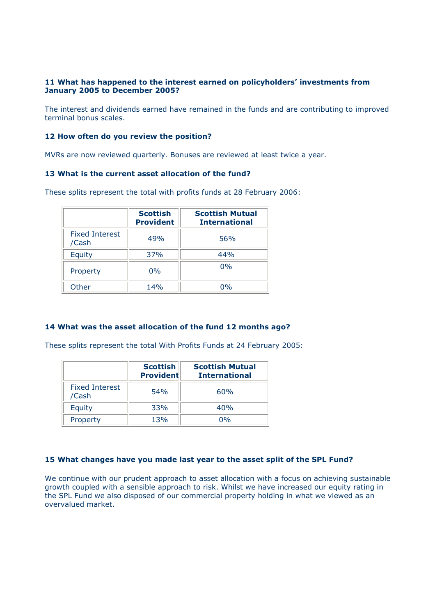# 11 What has happened to the interest earned on policyholders' investments from January 2005 to December 2005?

The interest and dividends earned have remained in the funds and are contributing to improved terminal bonus scales.

### 12 How often do you review the position?

MVRs are now reviewed quarterly. Bonuses are reviewed at least twice a year.

# 13 What is the current asset allocation of the fund?

These splits represent the total with profits funds at 28 February 2006:

|                                | <b>Scottish</b><br><b>Provident</b> | <b>Scottish Mutual</b><br><b>International</b> |
|--------------------------------|-------------------------------------|------------------------------------------------|
| <b>Fixed Interest</b><br>/Cash | 49%                                 | 56%                                            |
| Equity                         | 37%                                 | 44%                                            |
| Property                       | $0\%$                               | $0\%$                                          |
| Other                          | 14%                                 | በ‰                                             |

# 14 What was the asset allocation of the fund 12 months ago?

These splits represent the total With Profits Funds at 24 February 2005:

|                                | <b>Scottish</b><br><b>Provident</b> | <b>Scottish Mutual</b><br><b>International</b> |
|--------------------------------|-------------------------------------|------------------------------------------------|
| <b>Fixed Interest</b><br>/Cash | 54%                                 | 60%                                            |
| Equity                         | 33%                                 | 40%                                            |
| Property                       | 13%                                 | በ‰                                             |

# 15 What changes have you made last year to the asset split of the SPL Fund?

We continue with our prudent approach to asset allocation with a focus on achieving sustainable growth coupled with a sensible approach to risk. Whilst we have increased our equity rating in the SPL Fund we also disposed of our commercial property holding in what we viewed as an overvalued market.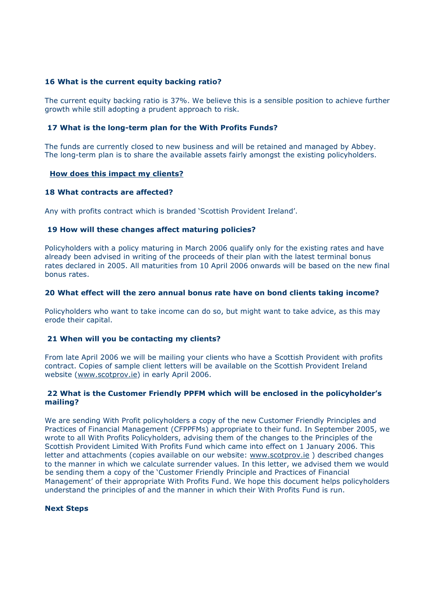### 16 What is the current equity backing ratio?

The current equity backing ratio is 37%. We believe this is a sensible position to achieve further growth while still adopting a prudent approach to risk.

### 17 What is the long-term plan for the With Profits Funds?

The funds are currently closed to new business and will be retained and managed by Abbey. The long-term plan is to share the available assets fairly amongst the existing policyholders.

#### How does this impact my clients?

### 18 What contracts are affected?

Any with profits contract which is branded 'Scottish Provident Ireland'.

### 19 How will these changes affect maturing policies?

Policyholders with a policy maturing in March 2006 qualify only for the existing rates and have already been advised in writing of the proceeds of their plan with the latest terminal bonus rates declared in 2005. All maturities from 10 April 2006 onwards will be based on the new final bonus rates.

### 20 What effect will the zero annual bonus rate have on bond clients taking income?

Policyholders who want to take income can do so, but might want to take advice, as this may erode their capital.

#### 21 When will you be contacting my clients?

From late April 2006 we will be mailing your clients who have a Scottish Provident with profits contract. Copies of sample client letters will be available on the Scottish Provident Ireland website (www.scotprov.ie) in early April 2006.

#### 22 What is the Customer Friendly PPFM which will be enclosed in the policyholder's mailing?

We are sending With Profit policyholders a copy of the new Customer Friendly Principles and Practices of Financial Management (CFPPFMs) appropriate to their fund. In September 2005, we wrote to all With Profits Policyholders, advising them of the changes to the Principles of the Scottish Provident Limited With Profits Fund which came into effect on 1 January 2006. This letter and attachments (copies available on our website: www.scotprov.ie ) described changes to the manner in which we calculate surrender values. In this letter, we advised them we would be sending them a copy of the 'Customer Friendly Principle and Practices of Financial Management' of their appropriate With Profits Fund. We hope this document helps policyholders understand the principles of and the manner in which their With Profits Fund is run.

#### Next Steps